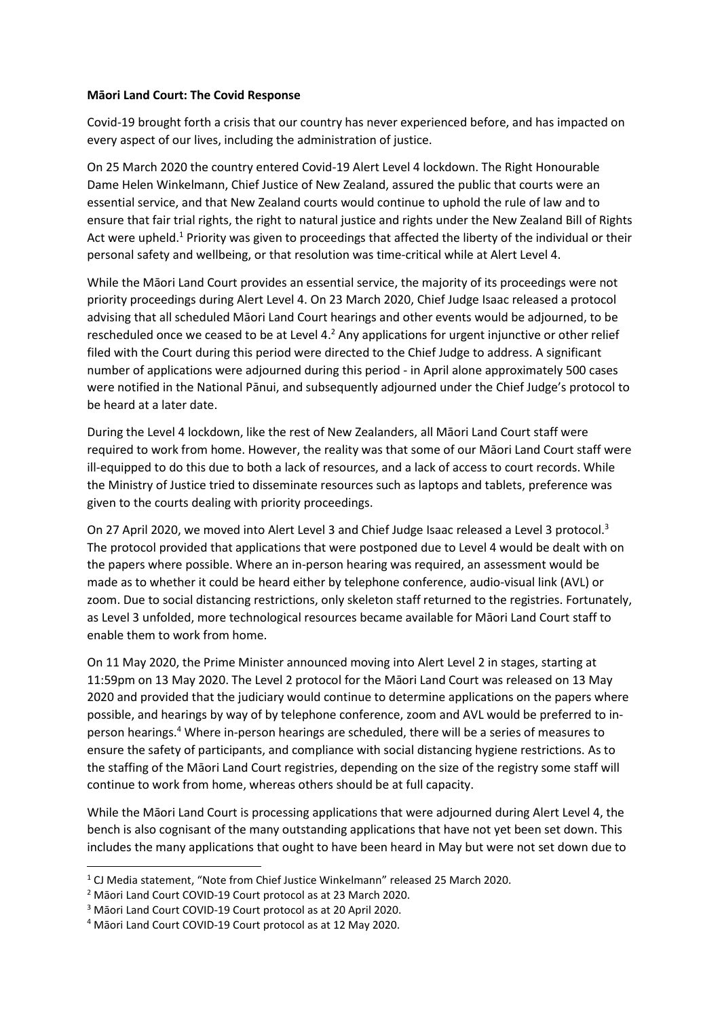## **Māori Land Court: The Covid Response**

Covid-19 brought forth a crisis that our country has never experienced before, and has impacted on every aspect of our lives, including the administration of justice.

On 25 March 2020 the country entered Covid-19 Alert Level 4 lockdown. The Right Honourable Dame Helen Winkelmann, Chief Justice of New Zealand, assured the public that courts were an essential service, and that New Zealand courts would continue to uphold the rule of law and to ensure that fair trial rights, the right to natural justice and rights under the New Zealand Bill of Rights Act were upheld.<sup>1</sup> Priority was given to proceedings that affected the liberty of the individual or their personal safety and wellbeing, or that resolution was time-critical while at Alert Level 4.

While the Māori Land Court provides an essential service, the majority of its proceedings were not priority proceedings during Alert Level 4. On 23 March 2020, Chief Judge Isaac released a protocol advising that all scheduled Māori Land Court hearings and other events would be adjourned, to be rescheduled once we ceased to be at Level 4.<sup>2</sup> Any applications for urgent injunctive or other relief filed with the Court during this period were directed to the Chief Judge to address. A significant number of applications were adjourned during this period - in April alone approximately 500 cases were notified in the National Pānui, and subsequently adjourned under the Chief Judge's protocol to be heard at a later date.

During the Level 4 lockdown, like the rest of New Zealanders, all Māori Land Court staff were required to work from home. However, the reality was that some of our Māori Land Court staff were ill-equipped to do this due to both a lack of resources, and a lack of access to court records. While the Ministry of Justice tried to disseminate resources such as laptops and tablets, preference was given to the courts dealing with priority proceedings.

On 27 April 2020, we moved into Alert Level 3 and Chief Judge Isaac released a Level 3 protocol.<sup>3</sup> The protocol provided that applications that were postponed due to Level 4 would be dealt with on the papers where possible. Where an in-person hearing was required, an assessment would be made as to whether it could be heard either by telephone conference, audio-visual link (AVL) or zoom. Due to social distancing restrictions, only skeleton staff returned to the registries. Fortunately, as Level 3 unfolded, more technological resources became available for Māori Land Court staff to enable them to work from home.

On 11 May 2020, the Prime Minister announced moving into Alert Level 2 in stages, starting at 11:59pm on 13 May 2020. The Level 2 protocol for the Māori Land Court was released on 13 May 2020 and provided that the judiciary would continue to determine applications on the papers where possible, and hearings by way of by telephone conference, zoom and AVL would be preferred to inperson hearings.<sup>4</sup> Where in-person hearings are scheduled, there will be a series of measures to ensure the safety of participants, and compliance with social distancing hygiene restrictions. As to the staffing of the Māori Land Court registries, depending on the size of the registry some staff will continue to work from home, whereas others should be at full capacity.

While the Māori Land Court is processing applications that were adjourned during Alert Level 4, the bench is also cognisant of the many outstanding applications that have not yet been set down. This includes the many applications that ought to have been heard in May but were not set down due to

1

<sup>1</sup> CJ Media statement, "Note from Chief Justice Winkelmann" released 25 March 2020.

<sup>2</sup> Māori Land Court COVID-19 Court protocol as at 23 March 2020.

<sup>3</sup> Māori Land Court COVID-19 Court protocol as at 20 April 2020.

<sup>4</sup> Māori Land Court COVID-19 Court protocol as at 12 May 2020.